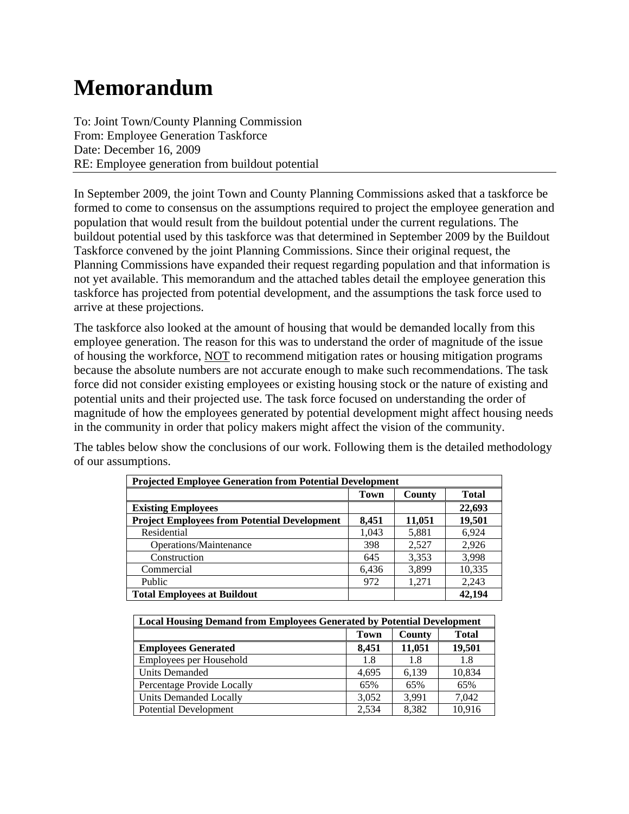# **Memorandum**

To: Joint Town/County Planning Commission From: Employee Generation Taskforce Date: December 16, 2009 RE: Employee generation from buildout potential

In September 2009, the joint Town and County Planning Commissions asked that a taskforce be formed to come to consensus on the assumptions required to project the employee generation and population that would result from the buildout potential under the current regulations. The buildout potential used by this taskforce was that determined in September 2009 by the Buildout Taskforce convened by the joint Planning Commissions. Since their original request, the Planning Commissions have expanded their request regarding population and that information is not yet available. This memorandum and the attached tables detail the employee generation this taskforce has projected from potential development, and the assumptions the task force used to arrive at these projections.

The taskforce also looked at the amount of housing that would be demanded locally from this employee generation. The reason for this was to understand the order of magnitude of the issue of housing the workforce, NOT to recommend mitigation rates or housing mitigation programs because the absolute numbers are not accurate enough to make such recommendations. The task force did not consider existing employees or existing housing stock or the nature of existing and potential units and their projected use. The task force focused on understanding the order of magnitude of how the employees generated by potential development might affect housing needs in the community in order that policy makers might affect the vision of the community.

The tables below show the conclusions of our work. Following them is the detailed methodology of our assumptions.

| <b>Projected Employee Generation from Potential Development</b> |       |        |              |  |  |  |
|-----------------------------------------------------------------|-------|--------|--------------|--|--|--|
|                                                                 | Town  | County | <b>Total</b> |  |  |  |
| <b>Existing Employees</b>                                       |       |        | 22,693       |  |  |  |
| <b>Project Employees from Potential Development</b>             | 8,451 | 11,051 | 19,501       |  |  |  |
| Residential                                                     | 1,043 | 5,881  | 6,924        |  |  |  |
| Operations/Maintenance                                          | 398   | 2,527  | 2,926        |  |  |  |
| Construction                                                    | 645   | 3,353  | 3,998        |  |  |  |
| Commercial                                                      | 6,436 | 3,899  | 10,335       |  |  |  |
| Public                                                          | 972   | 1,271  | 2,243        |  |  |  |
| 42.194<br><b>Total Employees at Buildout</b>                    |       |        |              |  |  |  |

| <b>Local Housing Demand from Employees Generated by Potential Development</b> |       |        |              |  |  |
|-------------------------------------------------------------------------------|-------|--------|--------------|--|--|
|                                                                               | Town  | County | <b>Total</b> |  |  |
| <b>Employees Generated</b>                                                    | 8.451 | 11,051 | 19,501       |  |  |
| Employees per Household                                                       | 1.8   | 1.8    | 1.8          |  |  |
| <b>Units Demanded</b>                                                         | 4.695 | 6.139  | 10,834       |  |  |
| Percentage Provide Locally                                                    | 65%   | 65%    | 65%          |  |  |
| Units Demanded Locally                                                        | 3.052 | 3.991  | 7.042        |  |  |
| <b>Potential Development</b>                                                  | 2.534 | 8.382  | 10.916       |  |  |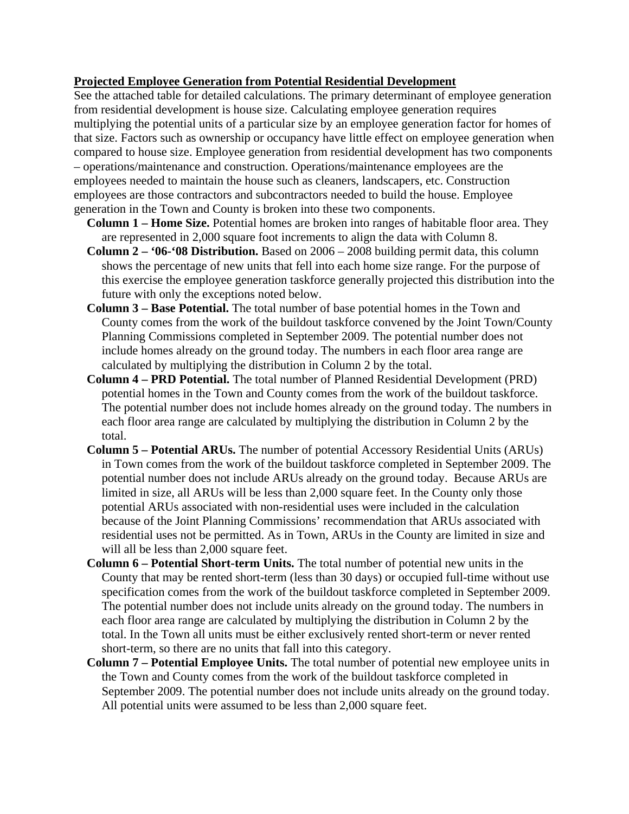#### **Projected Employee Generation from Potential Residential Development**

See the attached table for detailed calculations. The primary determinant of employee generation from residential development is house size. Calculating employee generation requires multiplying the potential units of a particular size by an employee generation factor for homes of that size. Factors such as ownership or occupancy have little effect on employee generation when compared to house size. Employee generation from residential development has two components – operations/maintenance and construction. Operations/maintenance employees are the employees needed to maintain the house such as cleaners, landscapers, etc. Construction employees are those contractors and subcontractors needed to build the house. Employee generation in the Town and County is broken into these two components.

- **Column 1 Home Size.** Potential homes are broken into ranges of habitable floor area. They are represented in 2,000 square foot increments to align the data with Column 8.
- **Column 2 '06-'08 Distribution.** Based on 2006 2008 building permit data, this column shows the percentage of new units that fell into each home size range. For the purpose of this exercise the employee generation taskforce generally projected this distribution into the future with only the exceptions noted below.
- **Column 3 Base Potential.** The total number of base potential homes in the Town and County comes from the work of the buildout taskforce convened by the Joint Town/County Planning Commissions completed in September 2009. The potential number does not include homes already on the ground today. The numbers in each floor area range are calculated by multiplying the distribution in Column 2 by the total.
- **Column 4 PRD Potential.** The total number of Planned Residential Development (PRD) potential homes in the Town and County comes from the work of the buildout taskforce. The potential number does not include homes already on the ground today. The numbers in each floor area range are calculated by multiplying the distribution in Column 2 by the total.
- **Column 5 Potential ARUs.** The number of potential Accessory Residential Units (ARUs) in Town comes from the work of the buildout taskforce completed in September 2009. The potential number does not include ARUs already on the ground today. Because ARUs are limited in size, all ARUs will be less than 2,000 square feet. In the County only those potential ARUs associated with non-residential uses were included in the calculation because of the Joint Planning Commissions' recommendation that ARUs associated with residential uses not be permitted. As in Town, ARUs in the County are limited in size and will all be less than 2,000 square feet.
- **Column 6 Potential Short-term Units.** The total number of potential new units in the County that may be rented short-term (less than 30 days) or occupied full-time without use specification comes from the work of the buildout taskforce completed in September 2009. The potential number does not include units already on the ground today. The numbers in each floor area range are calculated by multiplying the distribution in Column 2 by the total. In the Town all units must be either exclusively rented short-term or never rented short-term, so there are no units that fall into this category.
- **Column 7 Potential Employee Units.** The total number of potential new employee units in the Town and County comes from the work of the buildout taskforce completed in September 2009. The potential number does not include units already on the ground today. All potential units were assumed to be less than 2,000 square feet.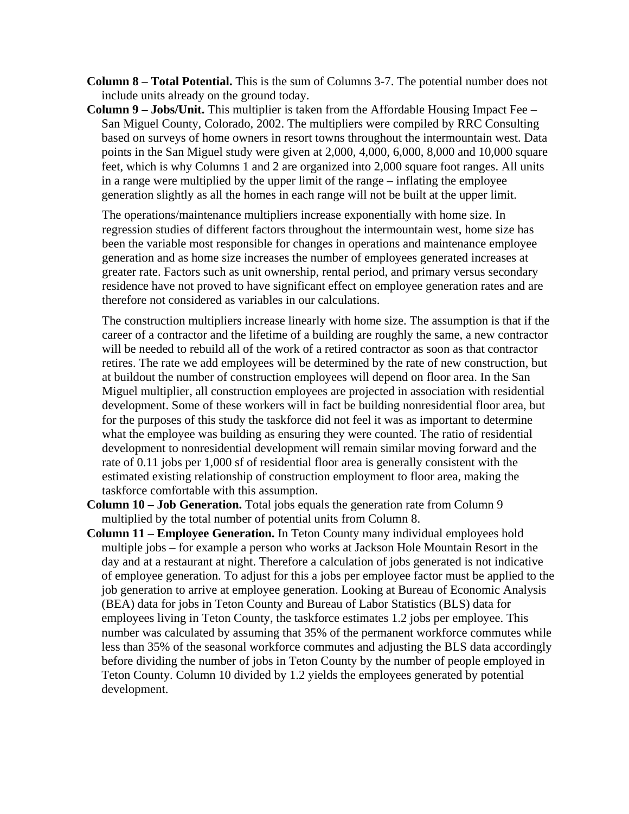**Column 8 – Total Potential.** This is the sum of Columns 3-7. The potential number does not include units already on the ground today.

**Column 9 – Jobs/Unit.** This multiplier is taken from the Affordable Housing Impact Fee – San Miguel County, Colorado, 2002. The multipliers were compiled by RRC Consulting based on surveys of home owners in resort towns throughout the intermountain west. Data points in the San Miguel study were given at 2,000, 4,000, 6,000, 8,000 and 10,000 square feet, which is why Columns 1 and 2 are organized into 2,000 square foot ranges. All units in a range were multiplied by the upper limit of the range – inflating the employee generation slightly as all the homes in each range will not be built at the upper limit.

The operations/maintenance multipliers increase exponentially with home size. In regression studies of different factors throughout the intermountain west, home size has been the variable most responsible for changes in operations and maintenance employee generation and as home size increases the number of employees generated increases at greater rate. Factors such as unit ownership, rental period, and primary versus secondary residence have not proved to have significant effect on employee generation rates and are therefore not considered as variables in our calculations.

The construction multipliers increase linearly with home size. The assumption is that if the career of a contractor and the lifetime of a building are roughly the same, a new contractor will be needed to rebuild all of the work of a retired contractor as soon as that contractor retires. The rate we add employees will be determined by the rate of new construction, but at buildout the number of construction employees will depend on floor area. In the San Miguel multiplier, all construction employees are projected in association with residential development. Some of these workers will in fact be building nonresidential floor area, but for the purposes of this study the taskforce did not feel it was as important to determine what the employee was building as ensuring they were counted. The ratio of residential development to nonresidential development will remain similar moving forward and the rate of 0.11 jobs per 1,000 sf of residential floor area is generally consistent with the estimated existing relationship of construction employment to floor area, making the taskforce comfortable with this assumption.

- **Column 10 Job Generation.** Total jobs equals the generation rate from Column 9 multiplied by the total number of potential units from Column 8.
- **Column 11 Employee Generation.** In Teton County many individual employees hold multiple jobs – for example a person who works at Jackson Hole Mountain Resort in the day and at a restaurant at night. Therefore a calculation of jobs generated is not indicative of employee generation. To adjust for this a jobs per employee factor must be applied to the job generation to arrive at employee generation. Looking at Bureau of Economic Analysis (BEA) data for jobs in Teton County and Bureau of Labor Statistics (BLS) data for employees living in Teton County, the taskforce estimates 1.2 jobs per employee. This number was calculated by assuming that 35% of the permanent workforce commutes while less than 35% of the seasonal workforce commutes and adjusting the BLS data accordingly before dividing the number of jobs in Teton County by the number of people employed in Teton County. Column 10 divided by 1.2 yields the employees generated by potential development.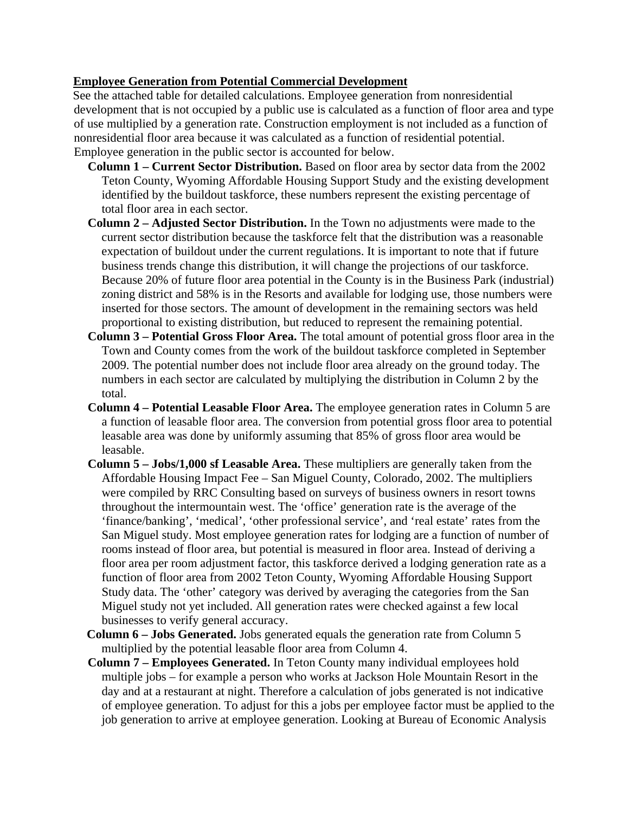#### **Employee Generation from Potential Commercial Development**

See the attached table for detailed calculations. Employee generation from nonresidential development that is not occupied by a public use is calculated as a function of floor area and type of use multiplied by a generation rate. Construction employment is not included as a function of nonresidential floor area because it was calculated as a function of residential potential. Employee generation in the public sector is accounted for below.

- **Column 1 Current Sector Distribution.** Based on floor area by sector data from the 2002 Teton County, Wyoming Affordable Housing Support Study and the existing development identified by the buildout taskforce, these numbers represent the existing percentage of total floor area in each sector.
- **Column 2 Adjusted Sector Distribution.** In the Town no adjustments were made to the current sector distribution because the taskforce felt that the distribution was a reasonable expectation of buildout under the current regulations. It is important to note that if future business trends change this distribution, it will change the projections of our taskforce. Because 20% of future floor area potential in the County is in the Business Park (industrial) zoning district and 58% is in the Resorts and available for lodging use, those numbers were inserted for those sectors. The amount of development in the remaining sectors was held proportional to existing distribution, but reduced to represent the remaining potential.
- **Column 3 Potential Gross Floor Area.** The total amount of potential gross floor area in the Town and County comes from the work of the buildout taskforce completed in September 2009. The potential number does not include floor area already on the ground today. The numbers in each sector are calculated by multiplying the distribution in Column 2 by the total.
- **Column 4 Potential Leasable Floor Area.** The employee generation rates in Column 5 are a function of leasable floor area. The conversion from potential gross floor area to potential leasable area was done by uniformly assuming that 85% of gross floor area would be leasable.
- **Column 5 Jobs/1,000 sf Leasable Area.** These multipliers are generally taken from the Affordable Housing Impact Fee – San Miguel County, Colorado, 2002. The multipliers were compiled by RRC Consulting based on surveys of business owners in resort towns throughout the intermountain west. The 'office' generation rate is the average of the 'finance/banking', 'medical', 'other professional service', and 'real estate' rates from the San Miguel study. Most employee generation rates for lodging are a function of number of rooms instead of floor area, but potential is measured in floor area. Instead of deriving a floor area per room adjustment factor, this taskforce derived a lodging generation rate as a function of floor area from 2002 Teton County, Wyoming Affordable Housing Support Study data. The 'other' category was derived by averaging the categories from the San Miguel study not yet included. All generation rates were checked against a few local businesses to verify general accuracy.
- **Column 6 Jobs Generated.** Jobs generated equals the generation rate from Column 5 multiplied by the potential leasable floor area from Column 4.
- **Column 7 Employees Generated.** In Teton County many individual employees hold multiple jobs – for example a person who works at Jackson Hole Mountain Resort in the day and at a restaurant at night. Therefore a calculation of jobs generated is not indicative of employee generation. To adjust for this a jobs per employee factor must be applied to the job generation to arrive at employee generation. Looking at Bureau of Economic Analysis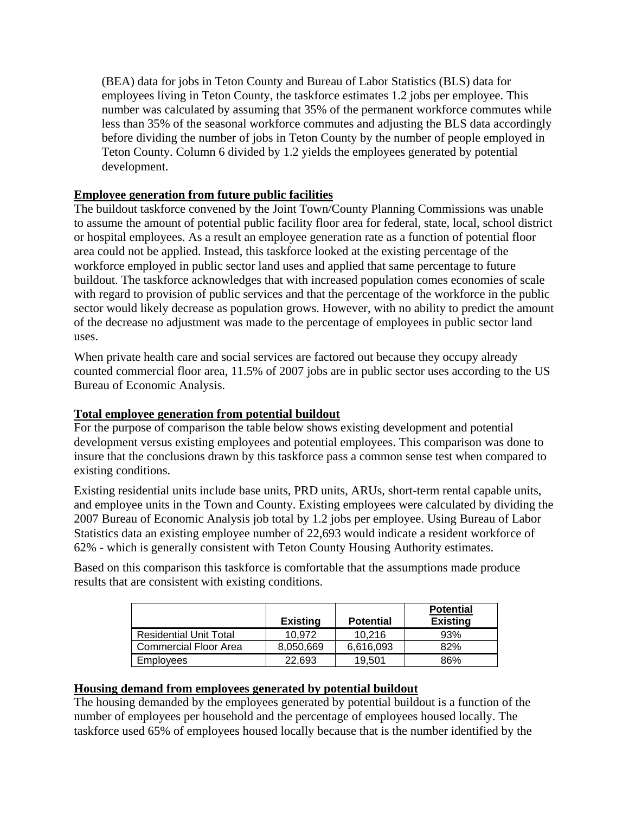(BEA) data for jobs in Teton County and Bureau of Labor Statistics (BLS) data for employees living in Teton County, the taskforce estimates 1.2 jobs per employee. This number was calculated by assuming that 35% of the permanent workforce commutes while less than 35% of the seasonal workforce commutes and adjusting the BLS data accordingly before dividing the number of jobs in Teton County by the number of people employed in Teton County. Column 6 divided by 1.2 yields the employees generated by potential development.

## **Employee generation from future public facilities**

The buildout taskforce convened by the Joint Town/County Planning Commissions was unable to assume the amount of potential public facility floor area for federal, state, local, school district or hospital employees. As a result an employee generation rate as a function of potential floor area could not be applied. Instead, this taskforce looked at the existing percentage of the workforce employed in public sector land uses and applied that same percentage to future buildout. The taskforce acknowledges that with increased population comes economies of scale with regard to provision of public services and that the percentage of the workforce in the public sector would likely decrease as population grows. However, with no ability to predict the amount of the decrease no adjustment was made to the percentage of employees in public sector land uses.

When private health care and social services are factored out because they occupy already counted commercial floor area, 11.5% of 2007 jobs are in public sector uses according to the US Bureau of Economic Analysis.

## **Total employee generation from potential buildout**

For the purpose of comparison the table below shows existing development and potential development versus existing employees and potential employees. This comparison was done to insure that the conclusions drawn by this taskforce pass a common sense test when compared to existing conditions.

Existing residential units include base units, PRD units, ARUs, short-term rental capable units, and employee units in the Town and County. Existing employees were calculated by dividing the 2007 Bureau of Economic Analysis job total by 1.2 jobs per employee. Using Bureau of Labor Statistics data an existing employee number of 22,693 would indicate a resident workforce of 62% - which is generally consistent with Teton County Housing Authority estimates.

Based on this comparison this taskforce is comfortable that the assumptions made produce results that are consistent with existing conditions.

|                               | <b>Existing</b> | <b>Potential</b> | <b>Potential</b><br><b>Existing</b> |
|-------------------------------|-----------------|------------------|-------------------------------------|
| <b>Residential Unit Total</b> | 10.972          | 10.216           | 93%                                 |
| Commercial Floor Area         | 8,050,669       | 6,616,093        | 82%                                 |
| Employees                     | 22.693          | 19.501           | 86%                                 |

## **Housing demand from employees generated by potential buildout**

The housing demanded by the employees generated by potential buildout is a function of the number of employees per household and the percentage of employees housed locally. The taskforce used 65% of employees housed locally because that is the number identified by the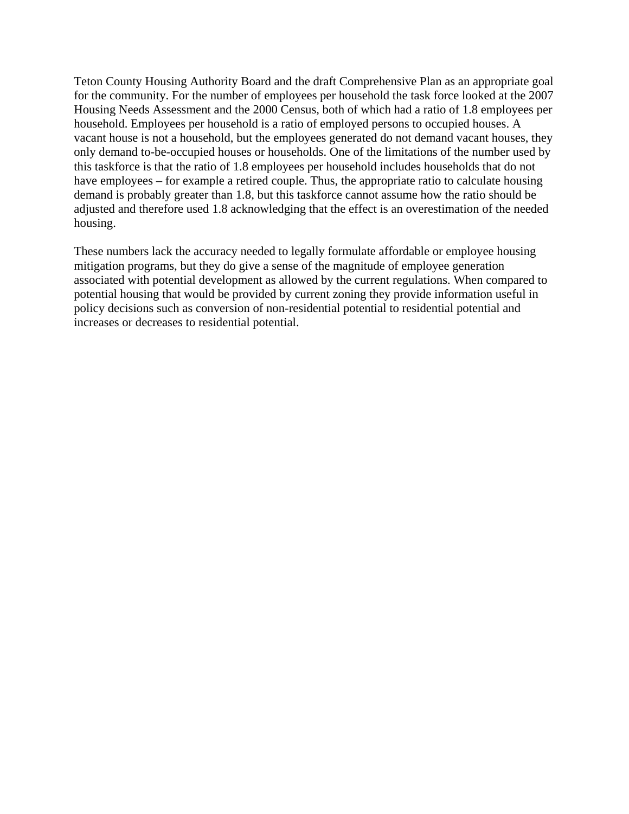Teton County Housing Authority Board and the draft Comprehensive Plan as an appropriate goal for the community. For the number of employees per household the task force looked at the 2007 Housing Needs Assessment and the 2000 Census, both of which had a ratio of 1.8 employees per household. Employees per household is a ratio of employed persons to occupied houses. A vacant house is not a household, but the employees generated do not demand vacant houses, they only demand to-be-occupied houses or households. One of the limitations of the number used by this taskforce is that the ratio of 1.8 employees per household includes households that do not have employees – for example a retired couple. Thus, the appropriate ratio to calculate housing demand is probably greater than 1.8, but this taskforce cannot assume how the ratio should be adjusted and therefore used 1.8 acknowledging that the effect is an overestimation of the needed housing.

These numbers lack the accuracy needed to legally formulate affordable or employee housing mitigation programs, but they do give a sense of the magnitude of employee generation associated with potential development as allowed by the current regulations. When compared to potential housing that would be provided by current zoning they provide information useful in policy decisions such as conversion of non-residential potential to residential potential and increases or decreases to residential potential.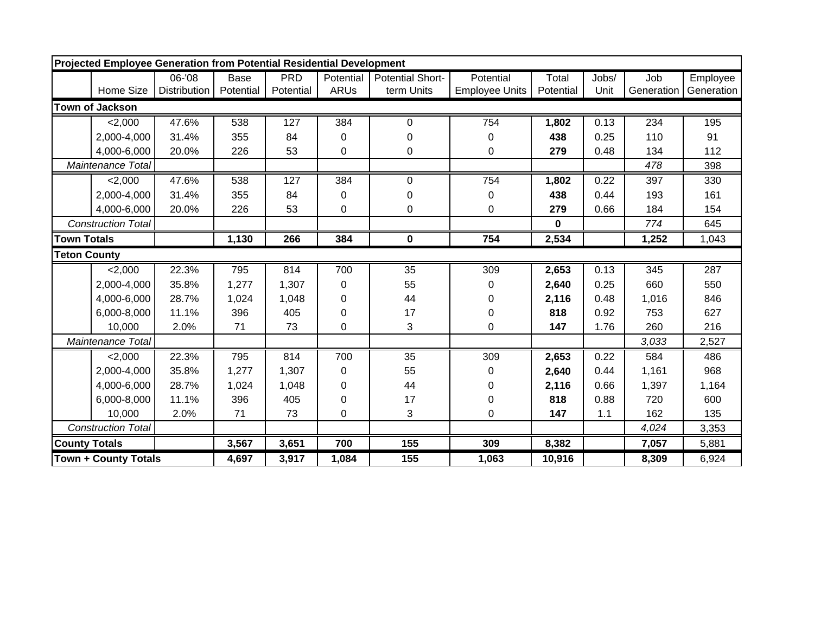|                      | Projected Employee Generation from Potential Residential Development |                     |             |            |             |                         |                       |             |       |            |            |
|----------------------|----------------------------------------------------------------------|---------------------|-------------|------------|-------------|-------------------------|-----------------------|-------------|-------|------------|------------|
|                      |                                                                      | $06 - 08$           | <b>Base</b> | <b>PRD</b> | Potential   | <b>Potential Short-</b> | Potential             | Total       | Jobs/ | Job        | Employee   |
|                      | Home Size                                                            | <b>Distribution</b> | Potential   | Potential  | <b>ARUs</b> | term Units              | <b>Employee Units</b> | Potential   | Unit  | Generation | Generation |
|                      | <b>Town of Jackson</b>                                               |                     |             |            |             |                         |                       |             |       |            |            |
|                      | 2,000                                                                | 47.6%               | 538         | 127        | 384         | 0                       | 754                   | 1,802       | 0.13  | 234        | 195        |
|                      | 2,000-4,000                                                          | 31.4%               | 355         | 84         | 0           | 0                       | 0                     | 438         | 0.25  | 110        | 91         |
|                      | 4,000-6,000                                                          | 20.0%               | 226         | 53         | 0           | 0                       | 0                     | 279         | 0.48  | 134        | 112        |
|                      | Maintenance Total                                                    |                     |             |            |             |                         |                       |             |       | 478        | 398        |
|                      | 2,000                                                                | 47.6%               | 538         | 127        | 384         | 0                       | 754                   | 1,802       | 0.22  | 397        | 330        |
|                      | 2,000-4,000                                                          | 31.4%               | 355         | 84         | 0           | 0                       | 0                     | 438         | 0.44  | 193        | 161        |
|                      | 4,000-6,000                                                          | 20.0%               | 226         | 53         | 0           | 0                       | 0                     | 279         | 0.66  | 184        | 154        |
|                      | <b>Construction Total</b>                                            |                     |             |            |             |                         |                       | $\mathbf 0$ |       | 774        | 645        |
| <b>Town Totals</b>   |                                                                      |                     | 1,130       | 266        | 384         | 0                       | 754                   | 2,534       |       | 1,252      | 1,043      |
| <b>Teton County</b>  |                                                                      |                     |             |            |             |                         |                       |             |       |            |            |
|                      | 2,000                                                                | 22.3%               | 795         | 814        | 700         | 35                      | 309                   | 2,653       | 0.13  | 345        | 287        |
|                      | 2,000-4,000                                                          | 35.8%               | 1,277       | 1,307      | 0           | 55                      | 0                     | 2,640       | 0.25  | 660        | 550        |
|                      | 4,000-6,000                                                          | 28.7%               | 1,024       | 1,048      | 0           | 44                      | 0                     | 2,116       | 0.48  | 1,016      | 846        |
|                      | 6,000-8,000                                                          | 11.1%               | 396         | 405        | 0           | 17                      | 0                     | 818         | 0.92  | 753        | 627        |
|                      | 10,000                                                               | 2.0%                | 71          | 73         | 0           | 3                       | 0                     | 147         | 1.76  | 260        | 216        |
|                      | Maintenance Total                                                    |                     |             |            |             |                         |                       |             |       | 3,033      | 2,527      |
|                      | 2,000                                                                | 22.3%               | 795         | 814        | 700         | 35                      | 309                   | 2,653       | 0.22  | 584        | 486        |
|                      | 2,000-4,000                                                          | 35.8%               | 1,277       | 1,307      | 0           | 55                      | 0                     | 2,640       | 0.44  | 1,161      | 968        |
|                      | 4,000-6,000                                                          | 28.7%               | 1,024       | 1,048      | 0           | 44                      | 0                     | 2,116       | 0.66  | 1,397      | 1,164      |
|                      | 6,000-8,000                                                          | 11.1%               | 396         | 405        | 0           | 17                      | 0                     | 818         | 0.88  | 720        | 600        |
|                      | 10,000                                                               | 2.0%                | 71          | 73         | 0           | 3                       | 0                     | 147         | 1.1   | 162        | 135        |
|                      | <b>Construction Total</b>                                            |                     |             |            |             |                         |                       |             |       | 4,024      | 3,353      |
| <b>County Totals</b> |                                                                      |                     | 3,567       | 3,651      | 700         | 155                     | 309                   | 8,382       |       | 7,057      | 5,881      |
|                      | <b>Town + County Totals</b>                                          |                     | 4,697       | 3,917      | 1,084       | 155                     | 1,063                 | 10,916      |       | 8,309      | 6,924      |